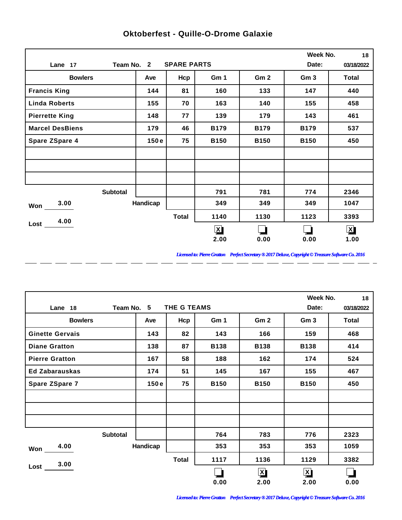|                        |                                  |          |              |              |                 | Week No.        | 18           |  |
|------------------------|----------------------------------|----------|--------------|--------------|-----------------|-----------------|--------------|--|
| Lane 17                | <b>SPARE PARTS</b><br>Team No. 2 |          |              |              |                 |                 |              |  |
| <b>Bowlers</b>         |                                  | Ave      | Hcp          | Gm 1         | Gm <sub>2</sub> | Gm <sub>3</sub> | <b>Total</b> |  |
| <b>Francis King</b>    |                                  | 144      | 81           | 160          | 133             | 147             | 440          |  |
| <b>Linda Roberts</b>   |                                  | 155      | 70           | 163          | 140             | 155             | 458          |  |
| <b>Pierrette King</b>  |                                  | 148      | 77           | 139          | 179             | 143             | 461          |  |
| <b>Marcel DesBiens</b> |                                  | 179      | 46           | <b>B179</b>  | <b>B179</b>     | <b>B179</b>     | 537          |  |
| <b>Spare ZSpare 4</b>  |                                  | 150e     | 75           | <b>B150</b>  | <b>B150</b>     | <b>B150</b>     | 450          |  |
|                        |                                  |          |              |              |                 |                 |              |  |
|                        |                                  |          |              |              |                 |                 |              |  |
|                        |                                  |          |              |              |                 |                 |              |  |
|                        | <b>Subtotal</b>                  |          |              | 791          | 781             | 774             | 2346         |  |
| 3.00<br>Won            |                                  | Handicap |              | 349          | 349             | 349             | 1047         |  |
| 4.00                   |                                  |          | <b>Total</b> | 1140         | 1130            | 1123            | 3393         |  |
| $Loss$ $\qquad$        |                                  |          |              | $\mathbf{X}$ |                 |                 | $\mathbf{X}$ |  |
|                        |                                  |          |              | 2.00         | 0.00            | 0.00            | 1.00         |  |

 $-$ 

 $\overline{a}$ 

 $\overline{a}$ 

 $\overline{a}$ 

 $\overline{a}$ 

 $\overline{a}$ 

 $\overline{a}$ 

 $\overline{a}$ 

## **Oktoberfest - Quille-O-Drome Galaxie**

*Licensed to: Pierre Gratton Perfect Secretary ® 2017 Deluxe, Copyright © Treasure Software Co. 2016*

<u> 2002 - 2003 - 2003 - 2003 - 2003 - 2003 - 2003 - 2003 - 2003 - 2003 - 2003 - 2003 - 2003 - 2003 - 2003 - 200</u>

|                        |          |              |             |                 | Week No.        | 18    |
|------------------------|----------|--------------|-------------|-----------------|-----------------|-------|
| Team No. 5<br>Lane 18  | Date:    | 03/18/2022   |             |                 |                 |       |
| <b>Bowlers</b>         | Ave      | Hcp          | Gm 1        | Gm <sub>2</sub> | Gm <sub>3</sub> | Total |
| <b>Ginette Gervais</b> | 143      | 82           | 143         | 166             | 159             | 468   |
| <b>Diane Gratton</b>   | 138      | 87           | <b>B138</b> | <b>B138</b>     | <b>B138</b>     | 414   |
| <b>Pierre Gratton</b>  | 167      | 58           | 188         | 162             | 174             | 524   |
| <b>Ed Zabarauskas</b>  | 174      | 51           | 145         | 167             | 155             | 467   |
| Spare ZSpare 7         | 150e     | 75           | <b>B150</b> | <b>B150</b>     | <b>B150</b>     | 450   |
|                        |          |              |             |                 |                 |       |
|                        |          |              |             |                 |                 |       |
|                        |          |              |             |                 |                 |       |
| <b>Subtotal</b>        |          |              | 764         | 783             | 776             | 2323  |
| 4.00<br>Won            | Handicap |              | 353         | 353             | 353             | 1059  |
| 3.00                   |          | <b>Total</b> | 1117        | 1136            | 1129            | 3382  |
| Lost                   |          |              |             | $\mathbf{X}$    | $\mathbf{X}$    |       |
|                        |          |              | 0.00        | 2.00            | 2.00            | 0.00  |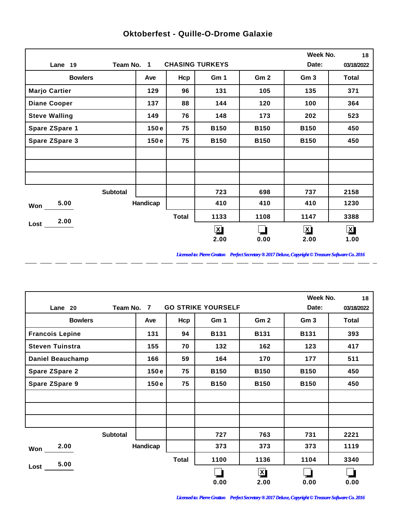|                       |                 |              |                        |                 | Week No.                | 18                   |
|-----------------------|-----------------|--------------|------------------------|-----------------|-------------------------|----------------------|
| Lane 19               | Team No. 1      |              | <b>CHASING TURKEYS</b> |                 | Date:                   | 03/18/2022           |
| <b>Bowlers</b>        | Ave             | Hcp          | Gm 1                   | Gm <sub>2</sub> | Gm <sub>3</sub>         | <b>Total</b>         |
| <b>Marjo Cartier</b>  | 129             | 96           | 131                    | 105             | 135                     | 371                  |
| <b>Diane Cooper</b>   | 137             | 88           | 144                    | 120             | 100                     | 364                  |
| <b>Steve Walling</b>  | 149             | 76           | 148                    | 173             | 202                     | 523                  |
| Spare ZSpare 1        | 150e            | 75           | <b>B150</b>            | <b>B150</b>     | <b>B150</b>             | 450                  |
| <b>Spare ZSpare 3</b> | 150e            | 75           | <b>B150</b>            | <b>B150</b>     | <b>B150</b>             | 450                  |
|                       |                 |              |                        |                 |                         |                      |
|                       |                 |              |                        |                 |                         |                      |
|                       |                 |              |                        |                 |                         |                      |
|                       | <b>Subtotal</b> |              | 723                    | 698             | 737                     | 2158                 |
| 5.00<br>Won           | Handicap        |              | 410                    | 410             | 410                     | 1230                 |
| 2.00                  |                 | <b>Total</b> | 1133                   | 1108            | 1147                    | 3388                 |
| Lost                  |                 |              | $\mathbf{X}$           |                 | $\overline{\mathbf{X}}$ | $\boxed{\mathbf{X}}$ |
|                       |                 |              | 2.00                   | 0.00            | 2.00                    | 1.00                 |

 $-$ 

 $\overline{a}$ 

 $\overline{a}$ 

 $\overline{a}$ 

 $\overline{a}$ 

 $\overline{a}$ 

 $\overline{a}$ 

 $\overline{a}$ 

## **Oktoberfest - Quille-O-Drome Galaxie**

*Licensed to: Pierre Gratton Perfect Secretary ® 2017 Deluxe, Copyright © Treasure Software Co. 2016*

<u> 2002 - 2003 - 2003 - 2003 - 2003 - 2003 - 2003 - 2003 - 2003 - 2003 - 2003 - 2003 - 2003 - 2003 - 2003 - 200</u>

|                         |          |              |             |                 | Week No.        | 18    |
|-------------------------|----------|--------------|-------------|-----------------|-----------------|-------|
| Team No.<br>Lane 20     | Date:    | 03/18/2022   |             |                 |                 |       |
| <b>Bowlers</b>          | Ave      | Hcp          | Gm 1        | Gm <sub>2</sub> | Gm <sub>3</sub> | Total |
| <b>Francois Lepine</b>  | 131      | 94           | <b>B131</b> | <b>B131</b>     | <b>B131</b>     | 393   |
| <b>Steven Tuinstra</b>  | 155      | 70           | 132         | 162             | 123             | 417   |
| <b>Daniel Beauchamp</b> | 166      | 59           | 164         | 170             | 177             | 511   |
| <b>Spare ZSpare 2</b>   | 150e     | 75           | <b>B150</b> | <b>B150</b>     | <b>B150</b>     | 450   |
| <b>Spare ZSpare 9</b>   | 150e     | 75           | <b>B150</b> | <b>B150</b>     | <b>B150</b>     | 450   |
|                         |          |              |             |                 |                 |       |
|                         |          |              |             |                 |                 |       |
|                         |          |              |             |                 |                 |       |
| <b>Subtotal</b>         |          |              | 727         | 763             | 731             | 2221  |
| 2.00<br>Won             | Handicap |              | 373         | 373             | 373             | 1119  |
| 5.00                    |          | <b>Total</b> | 1100        | 1136            | 1104            | 3340  |
| Lost                    |          |              |             | $\mathbf{X}$    |                 |       |
|                         |          |              | 0.00        | 2.00            | 0.00            | 0.00  |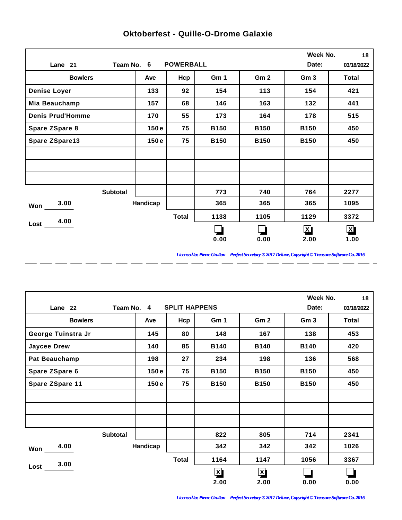|                         |                 |          |                  |             |                 | Week No.                | 18                   |
|-------------------------|-----------------|----------|------------------|-------------|-----------------|-------------------------|----------------------|
| Lane 21                 | Team No. 6      |          | <b>POWERBALL</b> |             |                 | Date:                   | 03/18/2022           |
| <b>Bowlers</b>          |                 | Ave      | Hcp              | Gm 1        | Gm <sub>2</sub> | Gm <sub>3</sub>         | <b>Total</b>         |
| <b>Denise Loyer</b>     |                 | 133      | 92               | 154         | 113             | 154                     | 421                  |
| Mia Beauchamp           |                 | 157      | 68               | 146         | 163             | 132                     | 441                  |
| <b>Denis Prud'Homme</b> |                 | 170      | 55               | 173         | 164             | 178                     | 515                  |
| Spare ZSpare 8          |                 | 150e     | 75               | <b>B150</b> | <b>B150</b>     | <b>B150</b>             | 450                  |
| <b>Spare ZSpare13</b>   |                 | 150e     | 75               | <b>B150</b> | <b>B150</b>     | <b>B150</b>             | 450                  |
|                         |                 |          |                  |             |                 |                         |                      |
|                         |                 |          |                  |             |                 |                         |                      |
|                         |                 |          |                  |             |                 |                         |                      |
|                         | <b>Subtotal</b> |          |                  | 773         | 740             | 764                     | 2277                 |
| 3.00<br>Won             |                 | Handicap |                  | 365         | 365             | 365                     | 1095                 |
| 4.00                    |                 |          | <b>Total</b>     | 1138        | 1105            | 1129                    | 3372                 |
| Lost                    |                 |          |                  |             |                 | $\overline{\mathbf{X}}$ | $\boxed{\mathbf{X}}$ |
|                         |                 |          |                  | 0.00        | 0.00            | 2.00                    | 1.00                 |

 $\overline{a}$ 

 $\overline{a}$ 

 $\overline{a}$ 

 $\overline{\phantom{a}}$ 

 $\overline{a}$ 

 $-$ 

 $\overline{a}$ 

 $\overline{a}$ 

## **Oktoberfest - Quille-O-Drome Galaxie**

*Licensed to: Pierre Gratton Perfect Secretary ® 2017 Deluxe, Copyright © Treasure Software Co. 2016*

<u> 2002 - 2003 - 2003 - 2003 - 2003 - 2003 - 2003 - 2003 - 2003 - 2003 - 2003 - 2003 - 2003 - 2003 - 2003 - 200</u>

|                       |          |              |              |                         | Week No.        | 18    |
|-----------------------|----------|--------------|--------------|-------------------------|-----------------|-------|
| Team No. 4<br>Lane 22 | Date:    | 03/18/2022   |              |                         |                 |       |
| <b>Bowlers</b>        | Ave      | Hcp          | Gm 1         | Gm <sub>2</sub>         | Gm <sub>3</sub> | Total |
| George Tuinstra Jr    | 145      | 80           | 148          | 167                     | 138             | 453   |
| <b>Jaycee Drew</b>    | 140      | 85           | <b>B140</b>  | <b>B140</b>             | <b>B140</b>     | 420   |
| <b>Pat Beauchamp</b>  | 198      | 27           | 234          | 198                     | 136             | 568   |
| Spare ZSpare 6        | 150e     | 75           | <b>B150</b>  | <b>B150</b>             | <b>B150</b>     | 450   |
| Spare ZSpare 11       | 150e     | 75           | <b>B150</b>  | <b>B150</b>             | <b>B150</b>     | 450   |
|                       |          |              |              |                         |                 |       |
|                       |          |              |              |                         |                 |       |
|                       |          |              |              |                         |                 |       |
| <b>Subtotal</b>       |          |              | 822          | 805                     | 714             | 2341  |
| 4.00<br>Won           | Handicap |              | 342          | 342                     | 342             | 1026  |
| 3.00                  |          | <b>Total</b> | 1164         | 1147                    | 1056            | 3367  |
| Lost                  |          |              | $\mathbf{X}$ | $\overline{\mathbf{X}}$ |                 |       |
|                       |          |              | 2.00         | 2.00                    | 0.00            | 0.00  |